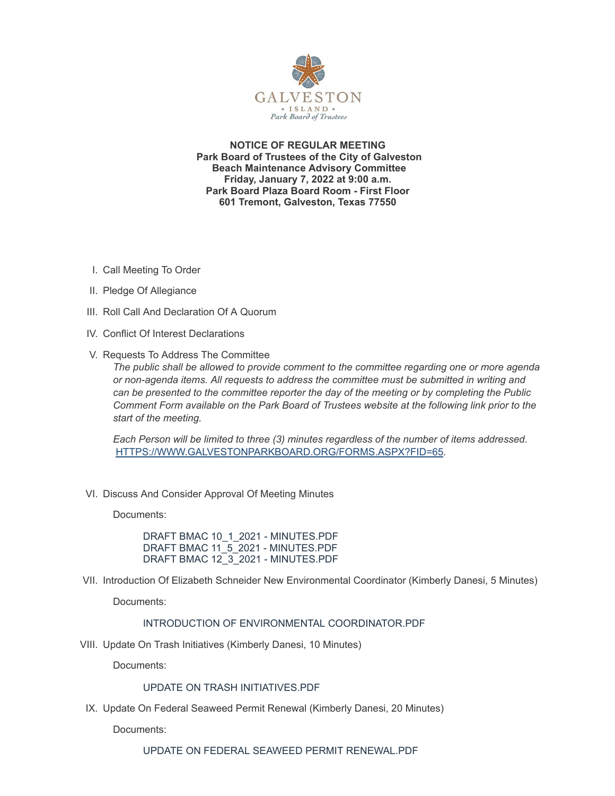

**NOTICE OF REGULAR MEETING Park Board of Trustees of the City of Galveston Beach Maintenance Advisory Committee Friday, January 7, 2022 at 9:00 a.m. Park Board Plaza Board Room - First Floor 601 Tremont, Galveston, Texas 77550**

- I. Call Meeting To Order
- II. Pledge Of Allegiance
- III. Roll Call And Declaration Of A Quorum
- IV. Conflict Of Interest Declarations
- V. Requests To Address The Committee

*The public shall be allowed to provide comment to the committee regarding one or more agenda or non-agenda items. All requests to address the committee must be submitted in writing and can be presented to the committee reporter the day of the meeting or by completing the Public Comment Form available on the Park Board of Trustees website at the following link prior to the start of the meeting.*

*Each Person will be limited to three (3) minutes regardless of the number of items addressed.* [HTTPS://WWW.GALVESTONPARKBOARD.ORG/FORMS.ASPX?FID=65](https://www.galvestonparkboard.org/forms.aspx?FID=65)*.*

VI. Discuss And Consider Approval Of Meeting Minutes

Documents:

DRAFT BMAC 10\_1\_2021 - [MINUTES.PDF](https://www.galvestonparkboard.org/AgendaCenter/ViewFile/Item/7143?fileID=10585) DRAFT BMAC 11\_5\_2021 - [MINUTES.PDF](https://www.galvestonparkboard.org/AgendaCenter/ViewFile/Item/7143?fileID=10586) DRAFT BMAC 12\_3\_2021 - [MINUTES.PDF](https://www.galvestonparkboard.org/AgendaCenter/ViewFile/Item/7143?fileID=10587)

VII. Introduction Of Elizabeth Schneider New Environmental Coordinator (Kimberly Danesi, 5 Minutes)

Documents:

### INTRODUCTION OF ENVIRONMENTAL [COORDINATOR.PDF](https://www.galvestonparkboard.org/AgendaCenter/ViewFile/Item/7144?fileID=10588)

VIII. Update On Trash Initiatives (Kimberly Danesi, 10 Minutes)

Documents:

# UPDATE ON TRASH [INITIATIVES.PDF](https://www.galvestonparkboard.org/AgendaCenter/ViewFile/Item/7145?fileID=10589)

IX. Update On Federal Seaweed Permit Renewal (Kimberly Danesi, 20 Minutes)

Documents:

UPDATE ON FEDERAL SEAWEED PERMIT [RENEWAL.PDF](https://www.galvestonparkboard.org/AgendaCenter/ViewFile/Item/7146?fileID=10590)